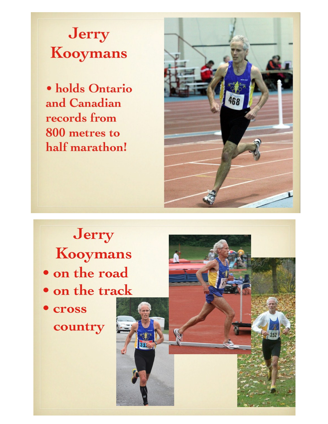Jerry **Kooymans** 

· holds Ontario and Canadian records from 800 metres to half marathon!



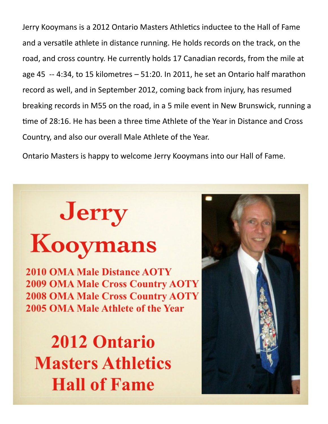Jerry Kooymans is a 2012 Ontario Masters Athletics inductee to the Hall of Fame and a versatile athlete in distance running. He holds records on the track, on the road, and cross country. He currently holds 17 Canadian records, from the mile at age 45  $-$  4:34, to 15 kilometres  $-$  51:20. In 2011, he set an Ontario half marathon record as well, and in September 2012, coming back from injury, has resumed breaking records in M55 on the road, in a 5 mile event in New Brunswick, running a time of 28:16. He has been a three time Athlete of the Year in Distance and Cross Country, and also our overall Male Athlete of the Year.

Ontario Masters is happy to welcome Jerry Kooymans into our Hall of Fame.

## **Jerry<br>Kooymans**

**2010 OMA Male Distance AOTY 2009 OMA Male Cross Country AOTY 2008 OMA Male Cross Country AOTY** 2005 OMA Male Athlete of the Year

**2012 Ontario Masters Athletics Hall of Fame**